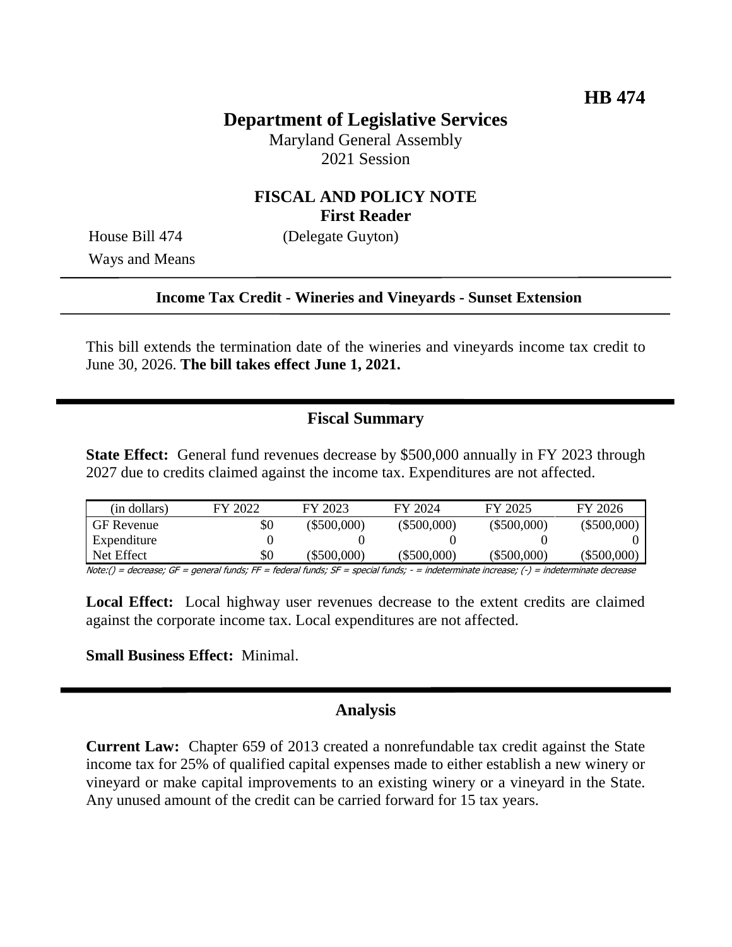# **Department of Legislative Services**

Maryland General Assembly 2021 Session

## **FISCAL AND POLICY NOTE First Reader**

Ways and Means

House Bill 474 (Delegate Guyton)

#### **Income Tax Credit - Wineries and Vineyards - Sunset Extension**

This bill extends the termination date of the wineries and vineyards income tax credit to June 30, 2026. **The bill takes effect June 1, 2021.**

### **Fiscal Summary**

**State Effect:** General fund revenues decrease by \$500,000 annually in FY 2023 through 2027 due to credits claimed against the income tax. Expenditures are not affected.

| (in dollars)                                                                | FY 2022 | FY 2023       | FY 2024       | FY 2025       | FY 2026       |
|-----------------------------------------------------------------------------|---------|---------------|---------------|---------------|---------------|
| <b>GF</b> Revenue                                                           | \$0     | $(\$500,000)$ | $(\$500,000)$ | $(\$500,000)$ | $(\$500,000)$ |
| Expenditure                                                                 |         |               |               |               |               |
| Net Effect                                                                  | \$0     | (\$500,000)   | $(\$500,000)$ | $(\$500,000)$ | $(\$500,000)$ |
| Nets () democra CE represent frontes FE federal frontes CE repeated frontes |         |               |               |               |               |

Note:() = decrease; GF = general funds; FF = federal funds; SF = special funds; - = indeterminate increase; (-) = indeterminate decrease

**Local Effect:** Local highway user revenues decrease to the extent credits are claimed against the corporate income tax. Local expenditures are not affected.

#### **Small Business Effect:** Minimal.

### **Analysis**

**Current Law:** Chapter 659 of 2013 created a nonrefundable tax credit against the State income tax for 25% of qualified capital expenses made to either establish a new winery or vineyard or make capital improvements to an existing winery or a vineyard in the State. Any unused amount of the credit can be carried forward for 15 tax years.